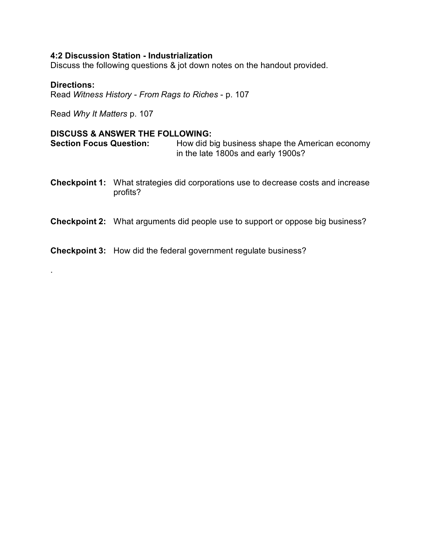# **4:2 Discussion Station - Industrialization**

Discuss the following questions & jot down notes on the handout provided.

## **Directions:**

.

Read *Witness History - From Rags to Riches* - p. 107

Read *Why It Matters* p. 107

#### **DISCUSS & ANSWER THE FOLLOWING:**

**Section Focus Question:** How did big business shape the American economy in the late 1800s and early 1900s?

**Checkpoint 1:** What strategies did corporations use to decrease costs and increase profits?

#### **Checkpoint 2:** What arguments did people use to support or oppose big business?

**Checkpoint 3:** How did the federal government regulate business?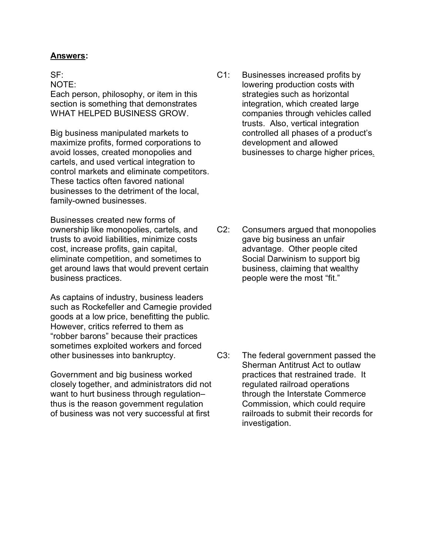## **Answers:**

SF:

NOTE:

Each person, philosophy, or item in this section is something that demonstrates WHAT HELPED BUSINESS GROW.

Big business manipulated markets to maximize profits, formed corporations to avoid losses, created monopolies and cartels, and used vertical integration to control markets and eliminate competitors. These tactics often favored national businesses to the detriment of the local, family-owned businesses.

Businesses created new forms of ownership like monopolies, cartels, and trusts to avoid liabilities, minimize costs cost, increase profits, gain capital, eliminate competition, and sometimes to get around laws that would prevent certain business practices.

As captains of industry, business leaders such as Rockefeller and Carnegie provided goods at a low price, benefitting the public. However, critics referred to them as "robber barons" because their practices sometimes exploited workers and forced other businesses into bankruptcy.

Government and big business worked closely together, and administrators did not want to hurt business through regulation– thus is the reason government regulation of business was not very successful at first

C1: Businesses increased profits by lowering production costs with strategies such as horizontal integration, which created large companies through vehicles called trusts. Also, vertical integration controlled all phases of a product's development and allowed businesses to charge higher prices.

C2: Consumers argued that monopolies gave big business an unfair advantage. Other people cited Social Darwinism to support big business, claiming that wealthy people were the most "fit."

C3: The federal government passed the Sherman Antitrust Act to outlaw practices that restrained trade. It regulated railroad operations through the Interstate Commerce Commission, which could require railroads to submit their records for investigation.